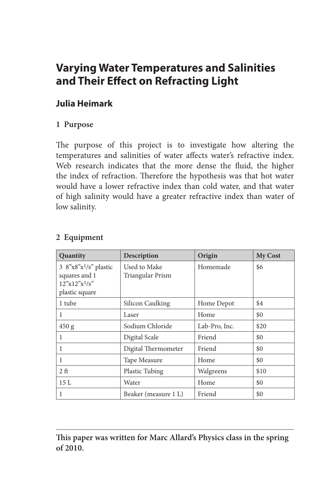# **Varying Water Temperatures and Salinities and Their Effect on Refracting Light**

# **Julia Heimark**

## **1 Purpose**

The purpose of this project is to investigate how altering the temperatures and salinities of water affects water's refractive index. Web research indicates that the more dense the fluid, the higher the index of refraction. Therefore the hypothesis was that hot water would have a lower refractive index than cold water, and that water of high salinity would have a greater refractive index than water of low salinity.

| Quantity                                                                                    | Description                      | Origin        | <b>My Cost</b> |
|---------------------------------------------------------------------------------------------|----------------------------------|---------------|----------------|
| 3 8"x8"x1/8" plastic<br>squares and 1<br>$12^{\nu}x12^{\nu}x^{1}/8^{\nu}$<br>plastic square | Used to Make<br>Triangular Prism | Homemade      | \$6            |
| 1 tube                                                                                      | Silicon Caulking                 | Home Depot    | \$4            |
| 1                                                                                           | Laser                            | Home          | \$0            |
| 450 g                                                                                       | Sodium Chloride                  | Lab-Pro, Inc. | \$20           |
| 1                                                                                           | Digital Scale                    | Friend        | \$0            |
| 1                                                                                           | Digital Thermometer              | Friend        | \$0            |
| 1                                                                                           | Tape Measure                     | Home          | \$0            |
| 2 <sub>f</sub>                                                                              | Plastic Tubing                   | Walgreens     | \$10           |
| 15 L                                                                                        | Water                            | Home          | \$0            |
| 1                                                                                           | Beaker (measure 1 L)             | Friend        | \$0            |

### **2 Equipment**

**This paper was written for Marc Allard's Physics class in the spring of 2010.**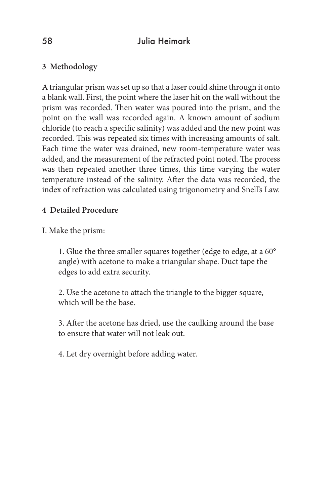# 58 Julia Heimark

## **3 Methodology**

A triangular prism was set up so that a laser could shine through it onto a blank wall. First, the point where the laser hit on the wall without the prism was recorded. Then water was poured into the prism, and the point on the wall was recorded again. A known amount of sodium chloride (to reach a specific salinity) was added and the new point was recorded. This was repeated six times with increasing amounts of salt. Each time the water was drained, new room-temperature water was added, and the measurement of the refracted point noted. The process was then repeated another three times, this time varying the water temperature instead of the salinity. After the data was recorded, the index of refraction was calculated using trigonometry and Snell's Law.

### **4 Detailed Procedure**

I. Make the prism:

1. Glue the three smaller squares together (edge to edge, at a 60° angle) with acetone to make a triangular shape. Duct tape the edges to add extra security.

2. Use the acetone to attach the triangle to the bigger square, which will be the base.

3. After the acetone has dried, use the caulking around the base to ensure that water will not leak out.

4. Let dry overnight before adding water.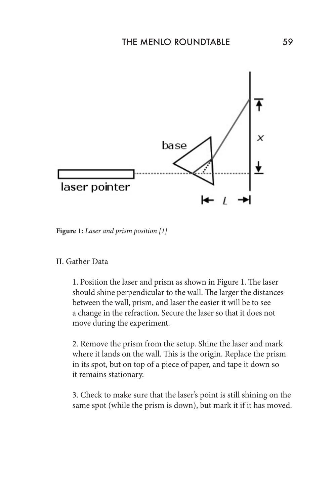

**Figure 1:** *Laser and prism position [1]*

#### II. Gather Data

1. Position the laser and prism as shown in Figure 1. The laser should shine perpendicular to the wall. The larger the distances between the wall, prism, and laser the easier it will be to see a change in the refraction. Secure the laser so that it does not move during the experiment.

2. Remove the prism from the setup. Shine the laser and mark where it lands on the wall. This is the origin. Replace the prism in its spot, but on top of a piece of paper, and tape it down so it remains stationary.

3. Check to make sure that the laser's point is still shining on the same spot (while the prism is down), but mark it if it has moved.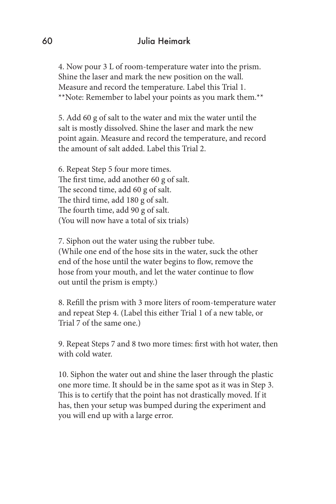### 60 Julia Heimark

4. Now pour 3 L of room-temperature water into the prism. Shine the laser and mark the new position on the wall. Measure and record the temperature. Label this Trial 1. \*\*Note: Remember to label your points as you mark them.\*\*

5. Add 60 g of salt to the water and mix the water until the salt is mostly dissolved. Shine the laser and mark the new point again. Measure and record the temperature, and record the amount of salt added. Label this Trial 2.

6. Repeat Step 5 four more times. The first time, add another 60 g of salt. The second time, add 60 g of salt. The third time, add 180 g of salt. The fourth time, add 90 g of salt. (You will now have a total of six trials)

7. Siphon out the water using the rubber tube. (While one end of the hose sits in the water, suck the other end of the hose until the water begins to flow, remove the hose from your mouth, and let the water continue to flow out until the prism is empty.)

8. Refill the prism with 3 more liters of room-temperature water and repeat Step 4. (Label this either Trial 1 of a new table, or Trial 7 of the same one.)

9. Repeat Steps 7 and 8 two more times: first with hot water, then with cold water.

10. Siphon the water out and shine the laser through the plastic one more time. It should be in the same spot as it was in Step 3. This is to certify that the point has not drastically moved. If it has, then your setup was bumped during the experiment and you will end up with a large error.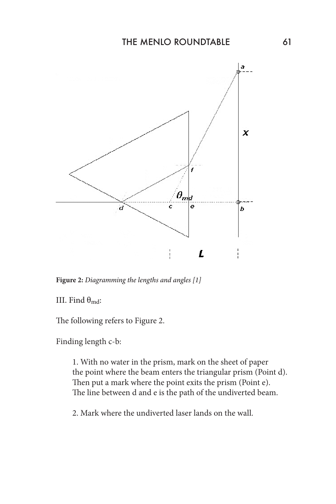

**Figure 2:** *Diagramming the lengths and angles [1]*

III. Find  $\theta_{\text{md}}$ :

The following refers to Figure 2.

Finding length c-b:

1. With no water in the prism, mark on the sheet of paper the point where the beam enters the triangular prism (Point d). Then put a mark where the point exits the prism (Point e). The line between d and e is the path of the undiverted beam.

2. Mark where the undiverted laser lands on the wall.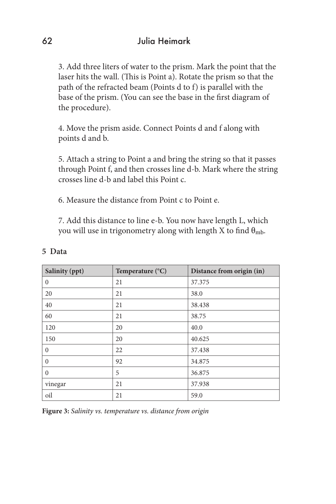3. Add three liters of water to the prism. Mark the point that the laser hits the wall. (This is Point a). Rotate the prism so that the path of the refracted beam (Points d to f) is parallel with the base of the prism. (You can see the base in the first diagram of the procedure).

4. Move the prism aside. Connect Points d and f along with points d and b.

5. Attach a string to Point a and bring the string so that it passes through Point f, and then crosses line d-b. Mark where the string crosses line d-b and label this Point c.

6. Measure the distance from Point c to Point e.

7. Add this distance to line e-b. You now have length L, which you will use in trigonometry along with length X to find  $\theta_{\rm mb}$ .

| Salinity (ppt) | Temperature $(^{\circ}C)$ | Distance from origin (in) |
|----------------|---------------------------|---------------------------|
| $\mathbf{0}$   | 21                        | 37.375                    |
| 20             | 21                        | 38.0                      |
| 40             | 21                        | 38.438                    |
| 60             | 21                        | 38.75                     |
| 120            | 20                        | 40.0                      |
| 150            | 20                        | 40.625                    |
| $\Omega$       | 22                        | 37.438                    |
| $\Omega$       | 92                        | 34.875                    |
| $\Omega$       | 5                         | 36.875                    |
| vinegar        | 21                        | 37.938                    |
| oil            | 21                        | 59.0                      |

#### **5 Data**

**Figure 3:** *Salinity vs. temperature vs. distance from origin*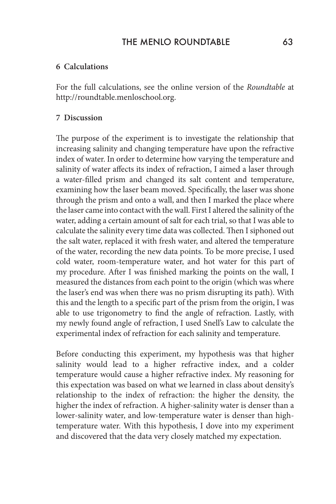### THE MENIO ROUNDTABLE 63

#### **6 Calculations**

For the full calculations, see the online version of the *Roundtable* at http://roundtable.menloschool.org.

#### **7 Discussion**

The purpose of the experiment is to investigate the relationship that increasing salinity and changing temperature have upon the refractive index of water. In order to determine how varying the temperature and salinity of water affects its index of refraction, I aimed a laser through a water-filled prism and changed its salt content and temperature, examining how the laser beam moved. Specifically, the laser was shone through the prism and onto a wall, and then I marked the place where the laser came into contact with the wall. First I altered the salinity of the water, adding a certain amount of salt for each trial, so that I was able to calculate the salinity every time data was collected. Then I siphoned out the salt water, replaced it with fresh water, and altered the temperature of the water, recording the new data points. To be more precise, I used cold water, room-temperature water, and hot water for this part of my procedure. After I was finished marking the points on the wall, I measured the distances from each point to the origin (which was where the laser's end was when there was no prism disrupting its path). With this and the length to a specific part of the prism from the origin, I was able to use trigonometry to find the angle of refraction. Lastly, with my newly found angle of refraction, I used Snell's Law to calculate the experimental index of refraction for each salinity and temperature.

Before conducting this experiment, my hypothesis was that higher salinity would lead to a higher refractive index, and a colder temperature would cause a higher refractive index. My reasoning for this expectation was based on what we learned in class about density's relationship to the index of refraction: the higher the density, the higher the index of refraction. A higher-salinity water is denser than a lower-salinity water, and low-temperature water is denser than hightemperature water. With this hypothesis, I dove into my experiment and discovered that the data very closely matched my expectation.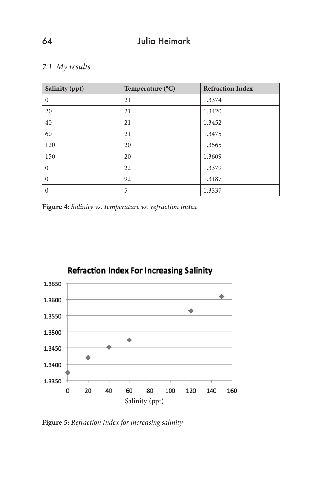### *7.1 My results*

| Salinity (ppt) | Temperature $(^{\circ}C)$ | <b>Refraction Index</b> |
|----------------|---------------------------|-------------------------|
| $\Omega$       | 21                        | 1.3374                  |
| 20             | 21                        | 1.3420                  |
| 40             | 21                        | 1.3452                  |
| 60             | 21                        | 1.3475                  |
| 120            | 20                        | 1.3565                  |
| 150            | 20                        | 1.3609                  |
| $\theta$       | 22                        | 1.3379                  |
| $\theta$       | 92                        | 1.3187                  |
| $\theta$       | 5                         | 1.3337                  |

**Figure 4:** *Salinity vs. temperature vs. refraction index*



**Figure 5:** *Refraction index for increasing salinity*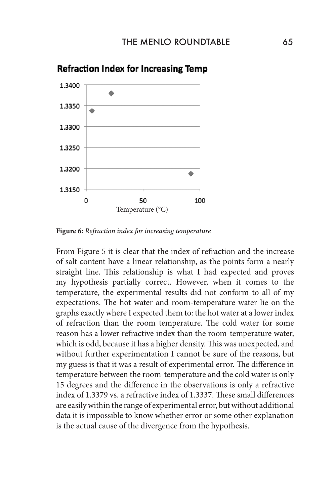

### **Refraction Index for Increasing Temp**

**Figure 6:** *Refraction index for increasing temperature*

From Figure 5 it is clear that the index of refraction and the increase of salt content have a linear relationship, as the points form a nearly straight line. This relationship is what I had expected and proves my hypothesis partially correct. However, when it comes to the temperature, the experimental results did not conform to all of my expectations. The hot water and room-temperature water lie on the graphs exactly where I expected them to: the hot water at a lower index of refraction than the room temperature. The cold water for some reason has a lower refractive index than the room-temperature water, which is odd, because it has a higher density. This was unexpected, and without further experimentation I cannot be sure of the reasons, but my guess is that it was a result of experimental error. The difference in temperature between the room-temperature and the cold water is only 15 degrees and the difference in the observations is only a refractive index of 1.3379 vs. a refractive index of 1.3337. These small differences are easily within the range of experimental error, but without additional data it is impossible to know whether error or some other explanation is the actual cause of the divergence from the hypothesis.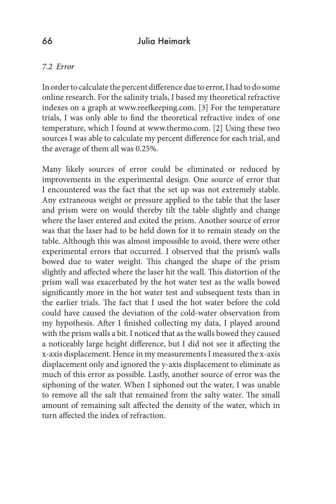#### *7.2 Error*

In order to calculate the percent difference due to error, I had to do some online research. For the salinity trials, I based my theoretical refractive indexes on a graph at www.reefkeeping.com. [3] For the temperature trials, I was only able to find the theoretical refractive index of one temperature, which I found at www.thermo.com. [2] Using these two sources I was able to calculate my percent difference for each trial, and the average of them all was 0.25%.

Many likely sources of error could be eliminated or reduced by improvements in the experimental design. One source of error that I encountered was the fact that the set up was not extremely stable. Any extraneous weight or pressure applied to the table that the laser and prism were on would thereby tilt the table slightly and change where the laser entered and exited the prism. Another source of error was that the laser had to be held down for it to remain steady on the table. Although this was almost impossible to avoid, there were other experimental errors that occurred. I observed that the prism's walls bowed due to water weight. This changed the shape of the prism slightly and affected where the laser hit the wall. This distortion of the prism wall was exacerbated by the hot water test as the walls bowed significantly more in the hot water test and subsequent tests than in the earlier trials. The fact that I used the hot water before the cold could have caused the deviation of the cold-water observation from my hypothesis. After I finished collecting my data, I played around with the prism walls a bit. I noticed that as the walls bowed they caused a noticeably large height difference, but I did not see it affecting the x-axis displacement. Hence in my measurements I measured the x-axis displacement only and ignored the y-axis displacement to eliminate as much of this error as possible. Lastly, another source of error was the siphoning of the water. When I siphoned out the water, I was unable to remove all the salt that remained from the salty water. The small amount of remaining salt affected the density of the water, which in turn affected the index of refraction.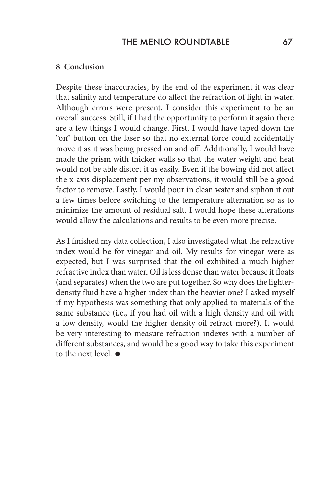#### **8 Conclusion**

Despite these inaccuracies, by the end of the experiment it was clear that salinity and temperature do affect the refraction of light in water. Although errors were present, I consider this experiment to be an overall success. Still, if I had the opportunity to perform it again there are a few things I would change. First, I would have taped down the "on" button on the laser so that no external force could accidentally move it as it was being pressed on and off. Additionally, I would have made the prism with thicker walls so that the water weight and heat would not be able distort it as easily. Even if the bowing did not affect the x-axis displacement per my observations, it would still be a good factor to remove. Lastly, I would pour in clean water and siphon it out a few times before switching to the temperature alternation so as to minimize the amount of residual salt. I would hope these alterations would allow the calculations and results to be even more precise.

As I finished my data collection, I also investigated what the refractive index would be for vinegar and oil. My results for vinegar were as expected, but I was surprised that the oil exhibited a much higher refractive index than water. Oil is less dense than water because it floats (and separates) when the two are put together. So why does the lighterdensity fluid have a higher index than the heavier one? I asked myself if my hypothesis was something that only applied to materials of the same substance (i.e., if you had oil with a high density and oil with a low density, would the higher density oil refract more?). It would be very interesting to measure refraction indexes with a number of different substances, and would be a good way to take this experiment to the next level.